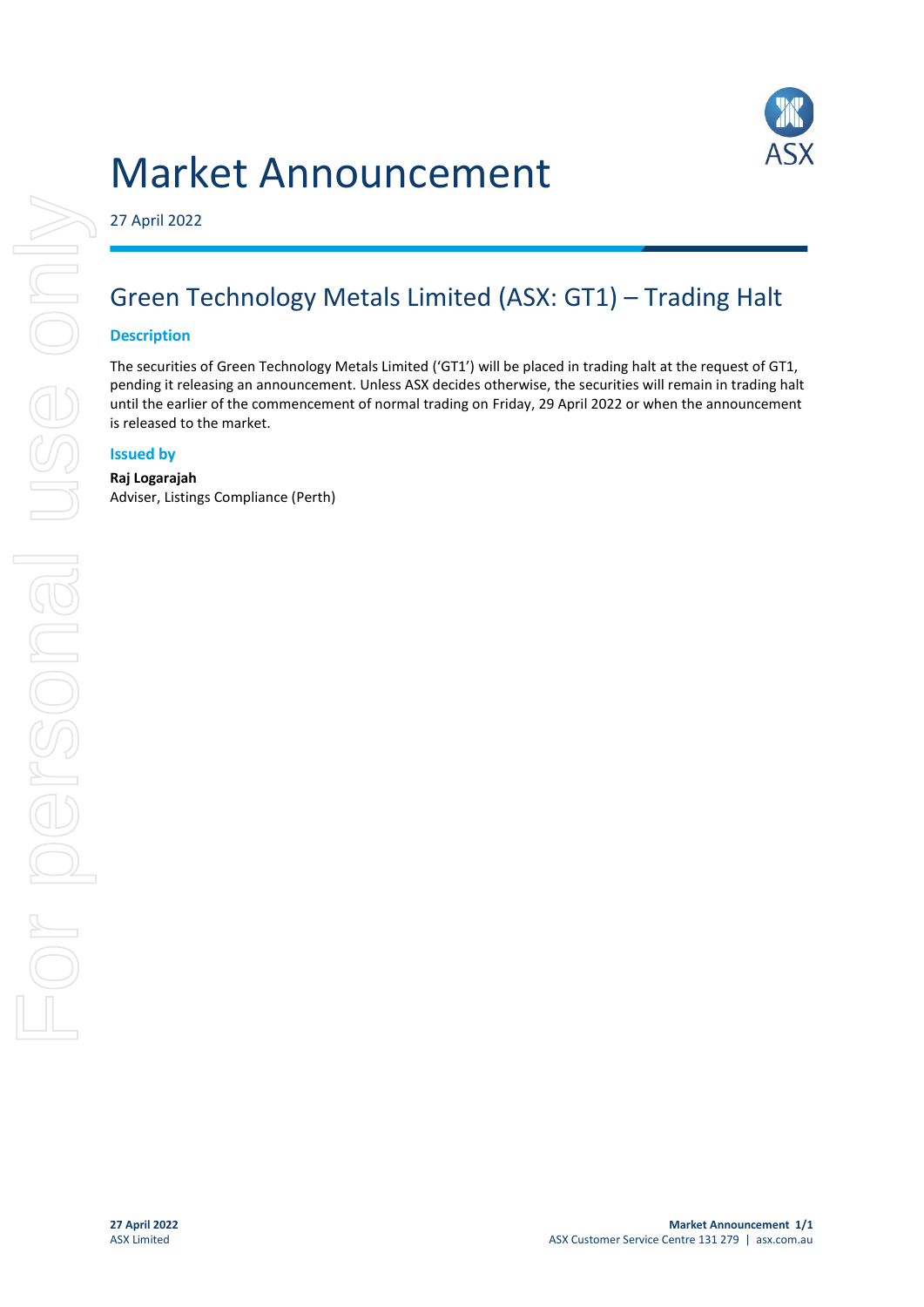



27 April 2022

# Green Technology Metals Limited (ASX: GT1) – Trading Halt

### **Description**

The securities of Green Technology Metals Limited ('GT1') will be placed in trading halt at the request of GT1, pending it releasing an announcement. Unless ASX decides otherwise, the securities will remain in trading halt until the earlier of the commencement of normal trading on Friday, 29 April 2022 or when the announcement is released to the market.

### **Issued by**

#### **Raj Logarajah** Adviser, Listings Compliance (Perth)

For personal use only USS ONN For personal